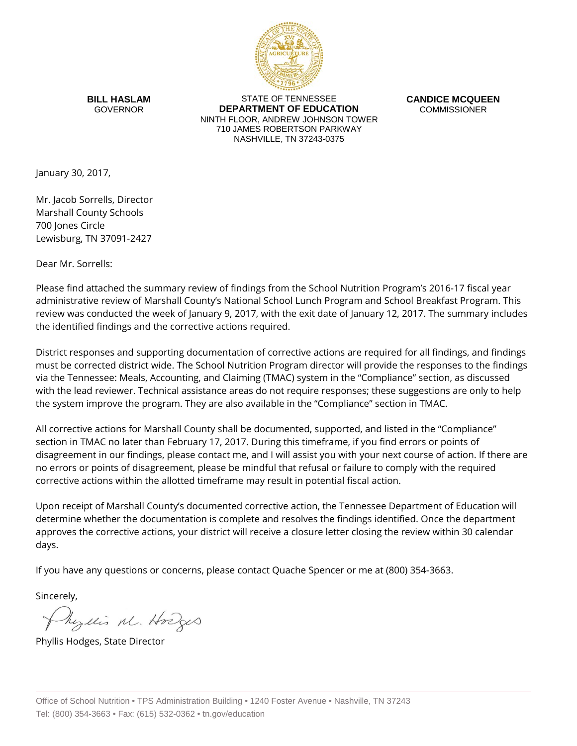

**BILL HASLAM** GOVERNOR

STATE OF TENNESSEE **DEPARTMENT OF EDUCATION** NINTH FLOOR, ANDREW JOHNSON TOWER 710 JAMES ROBERTSON PARKWAY NASHVILLE, TN 37243-0375

**CANDICE MCQUEEN** COMMISSIONER

January 30, 2017,

Mr. Jacob Sorrells, Director Marshall County Schools 700 Jones Circle Lewisburg, TN 37091-2427

Dear Mr. Sorrells:

Please find attached the summary review of findings from the School Nutrition Program's 2016-17 fiscal year administrative review of Marshall County's National School Lunch Program and School Breakfast Program. This review was conducted the week of January 9, 2017, with the exit date of January 12, 2017. The summary includes the identified findings and the corrective actions required.

District responses and supporting documentation of corrective actions are required for all findings, and findings must be corrected district wide. The School Nutrition Program director will provide the responses to the findings via the Tennessee: Meals, Accounting, and Claiming (TMAC) system in the "Compliance" section, as discussed with the lead reviewer. Technical assistance areas do not require responses; these suggestions are only to help the system improve the program. They are also available in the "Compliance" section in TMAC.

All corrective actions for Marshall County shall be documented, supported, and listed in the "Compliance" section in TMAC no later than February 17, 2017. During this timeframe, if you find errors or points of disagreement in our findings, please contact me, and I will assist you with your next course of action. If there are no errors or points of disagreement, please be mindful that refusal or failure to comply with the required corrective actions within the allotted timeframe may result in potential fiscal action.

Upon receipt of Marshall County's documented corrective action, the Tennessee Department of Education will determine whether the documentation is complete and resolves the findings identified. Once the department approves the corrective actions, your district will receive a closure letter closing the review within 30 calendar days.

If you have any questions or concerns, please contact Quache Spencer or me at (800) 354-3663.

Sincerely,

Myllis M. Hodges

Phyllis Hodges, State Director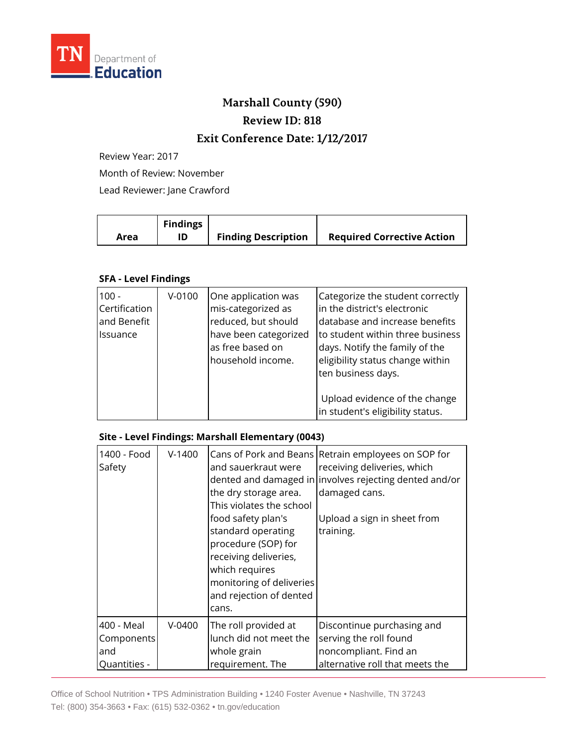

## **Marshall County (590) Review ID: 818 Exit Conference Date: 1/12/2017**

Review Year: 2017

Month of Review: November

Lead Reviewer: Jane Crawford

|      | <b>Findings</b> |                            |                                   |
|------|-----------------|----------------------------|-----------------------------------|
| Area |                 | <b>Finding Description</b> | <b>Required Corrective Action</b> |

## **SFA - Level Findings**

| $100 -$<br>Certification<br>and Benefit<br><b>Issuance</b> | $V-0100$ | One application was<br>mis-categorized as<br>reduced, but should<br>have been categorized<br>as free based on<br>household income. | Categorize the student correctly<br>in the district's electronic<br>database and increase benefits<br>to student within three business<br>days. Notify the family of the<br>eligibility status change within<br>ten business days. |
|------------------------------------------------------------|----------|------------------------------------------------------------------------------------------------------------------------------------|------------------------------------------------------------------------------------------------------------------------------------------------------------------------------------------------------------------------------------|
|                                                            |          |                                                                                                                                    | Upload evidence of the change<br>in student's eligibility status.                                                                                                                                                                  |

## **Site - Level Findings: Marshall Elementary (0043)**

| 1400 - Food<br>Safety | $V-1400$ | Cans of Pork and Beans<br>and sauerkraut were<br>the dry storage area.<br>This violates the school<br>food safety plan's<br>standard operating<br>procedure (SOP) for<br>receiving deliveries,<br>which requires<br>monitoring of deliveries<br>and rejection of dented<br>cans. | Retrain employees on SOP for<br>receiving deliveries, which<br>dented and damaged in involves rejecting dented and/or<br>damaged cans.<br>Upload a sign in sheet from<br>training. |
|-----------------------|----------|----------------------------------------------------------------------------------------------------------------------------------------------------------------------------------------------------------------------------------------------------------------------------------|------------------------------------------------------------------------------------------------------------------------------------------------------------------------------------|
| 400 - Meal            | $V-0400$ | The roll provided at                                                                                                                                                                                                                                                             | Discontinue purchasing and                                                                                                                                                         |
| Components            |          | lunch did not meet the                                                                                                                                                                                                                                                           | serving the roll found                                                                                                                                                             |
| and                   |          | whole grain                                                                                                                                                                                                                                                                      | noncompliant. Find an                                                                                                                                                              |
| Quantities -          |          | requirement. The                                                                                                                                                                                                                                                                 | alternative roll that meets the                                                                                                                                                    |